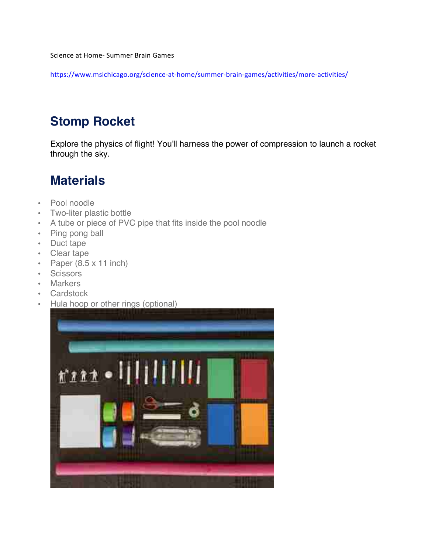Science at Home- Summer Brain Games

https://www.msichicago.org/science-at-home/summer-brain-games/activities/more-activities/

### **Stomp Rocket**

Explore the physics of flight! You'll harness the power of compression to launch a rocket through the sky.

## **Materials**

- Pool noodle
- Two-liter plastic bottle
- A tube or piece of PVC pipe that fits inside the pool noodle
- Ping pong ball
- Duct tape
- Clear tape
- Paper  $(8.5 \times 11 \text{ inch})$
- Scissors
- Markers
- Cardstock
- Hula hoop or other rings (optional)

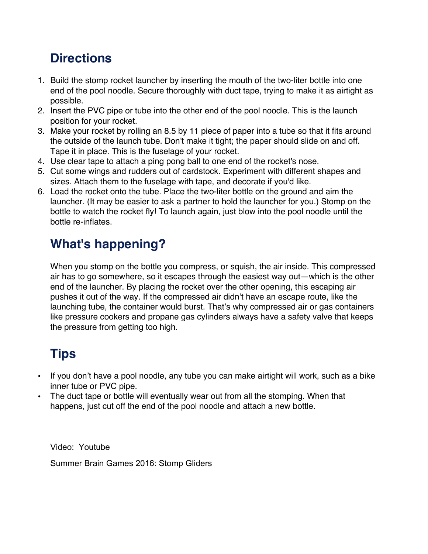# **Directions**

- 1. Build the stomp rocket launcher by inserting the mouth of the two-liter bottle into one end of the pool noodle. Secure thoroughly with duct tape, trying to make it as airtight as possible.
- 2. Insert the PVC pipe or tube into the other end of the pool noodle. This is the launch position for your rocket.
- 3. Make your rocket by rolling an 8.5 by 11 piece of paper into a tube so that it fits around the outside of the launch tube. Don't make it tight; the paper should slide on and off. Tape it in place. This is the fuselage of your rocket.
- 4. Use clear tape to attach a ping pong ball to one end of the rocket's nose.
- 5. Cut some wings and rudders out of cardstock. Experiment with different shapes and sizes. Attach them to the fuselage with tape, and decorate if you'd like.
- 6. Load the rocket onto the tube. Place the two-liter bottle on the ground and aim the launcher. (It may be easier to ask a partner to hold the launcher for you.) Stomp on the bottle to watch the rocket fly! To launch again, just blow into the pool noodle until the bottle re-inflates.

## **What's happening?**

When you stomp on the bottle you compress, or squish, the air inside. This compressed air has to go somewhere, so it escapes through the easiest way out—which is the other end of the launcher. By placing the rocket over the other opening, this escaping air pushes it out of the way. If the compressed air didn't have an escape route, like the launching tube, the container would burst. That's why compressed air or gas containers like pressure cookers and propane gas cylinders always have a safety valve that keeps the pressure from getting too high.

# **Tips**

- If you don't have a pool noodle, any tube you can make airtight will work, such as a bike inner tube or PVC pipe.
- The duct tape or bottle will eventually wear out from all the stomping. When that happens, just cut off the end of the pool noodle and attach a new bottle.

Video: Youtube

Summer Brain Games 2016: Stomp Gliders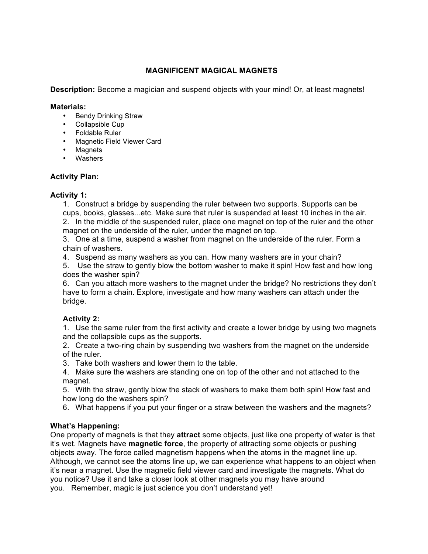#### **MAGNIFICENT MAGICAL MAGNETS**

**Description:** Become a magician and suspend objects with your mind! Or, at least magnets!

#### **Materials:**

- Bendy Drinking Straw
- Collapsible Cup
- Foldable Ruler
- Magnetic Field Viewer Card
- Magnets
- Washers

#### **Activity Plan:**

#### **Activity 1:**

1. Construct a bridge by suspending the ruler between two supports. Supports can be cups, books, glasses...etc. Make sure that ruler is suspended at least 10 inches in the air.

2. In the middle of the suspended ruler, place one magnet on top of the ruler and the other magnet on the underside of the ruler, under the magnet on top.

3. One at a time, suspend a washer from magnet on the underside of the ruler. Form a chain of washers.

4. Suspend as many washers as you can. How many washers are in your chain?

5. Use the straw to gently blow the bottom washer to make it spin! How fast and how long does the washer spin?

6. Can you attach more washers to the magnet under the bridge? No restrictions they don't have to form a chain. Explore, investigate and how many washers can attach under the bridge.

#### **Activity 2:**

1. Use the same ruler from the first activity and create a lower bridge by using two magnets and the collapsible cups as the supports.

2. Create a two-ring chain by suspending two washers from the magnet on the underside of the ruler.

3. Take both washers and lower them to the table.

4. Make sure the washers are standing one on top of the other and not attached to the magnet.

5. With the straw, gently blow the stack of washers to make them both spin! How fast and how long do the washers spin?

6. What happens if you put your finger or a straw between the washers and the magnets?

#### **What's Happening:**

One property of magnets is that they **attract** some objects, just like one property of water is that it's wet. Magnets have **magnetic force**, the property of attracting some objects or pushing objects away. The force called magnetism happens when the atoms in the magnet line up. Although, we cannot see the atoms line up, we can experience what happens to an object when it's near a magnet. Use the magnetic field viewer card and investigate the magnets. What do you notice? Use it and take a closer look at other magnets you may have around you. Remember, magic is just science you don't understand yet!